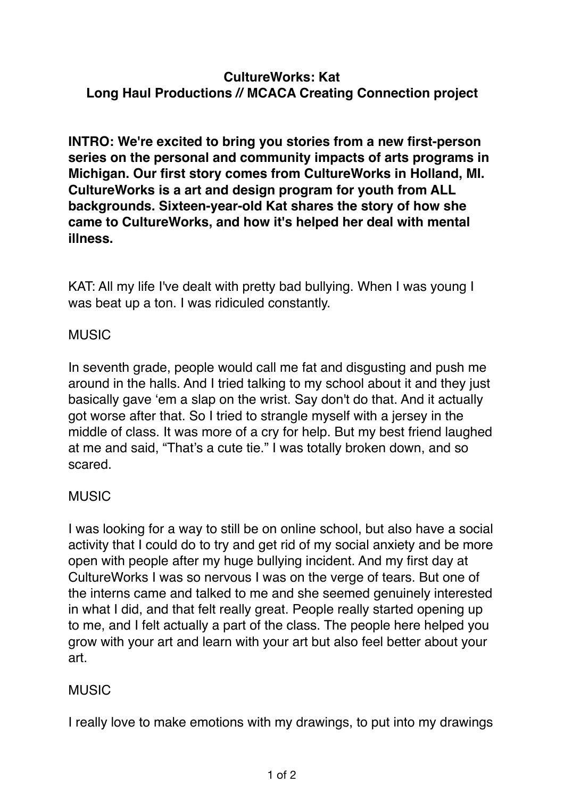### **CultureWorks: Kat Long Haul Productions // MCACA Creating Connection project**

**INTRO: We're excited to bring you stories from a new first-person series on the personal and community impacts of arts programs in Michigan. Our first story comes from CultureWorks in Holland, MI. CultureWorks is a art and design program for youth from ALL backgrounds. Sixteen-year-old Kat shares the story of how she came to CultureWorks, and how it's helped her deal with mental illness.**

KAT: All my life I've dealt with pretty bad bullying. When I was young I was beat up a ton. I was ridiculed constantly.

### **MUSIC**

In seventh grade, people would call me fat and disgusting and push me around in the halls. And I tried talking to my school about it and they just basically gave 'em a slap on the wrist. Say don't do that. And it actually got worse after that. So I tried to strangle myself with a jersey in the middle of class. It was more of a cry for help. But my best friend laughed at me and said, "That's a cute tie." I was totally broken down, and so scared.

### MUSIC

I was looking for a way to still be on online school, but also have a social activity that I could do to try and get rid of my social anxiety and be more open with people after my huge bullying incident. And my first day at CultureWorks I was so nervous I was on the verge of tears. But one of the interns came and talked to me and she seemed genuinely interested in what I did, and that felt really great. People really started opening up to me, and I felt actually a part of the class. The people here helped you grow with your art and learn with your art but also feel better about your art.

## **MUSIC**

I really love to make emotions with my drawings, to put into my drawings